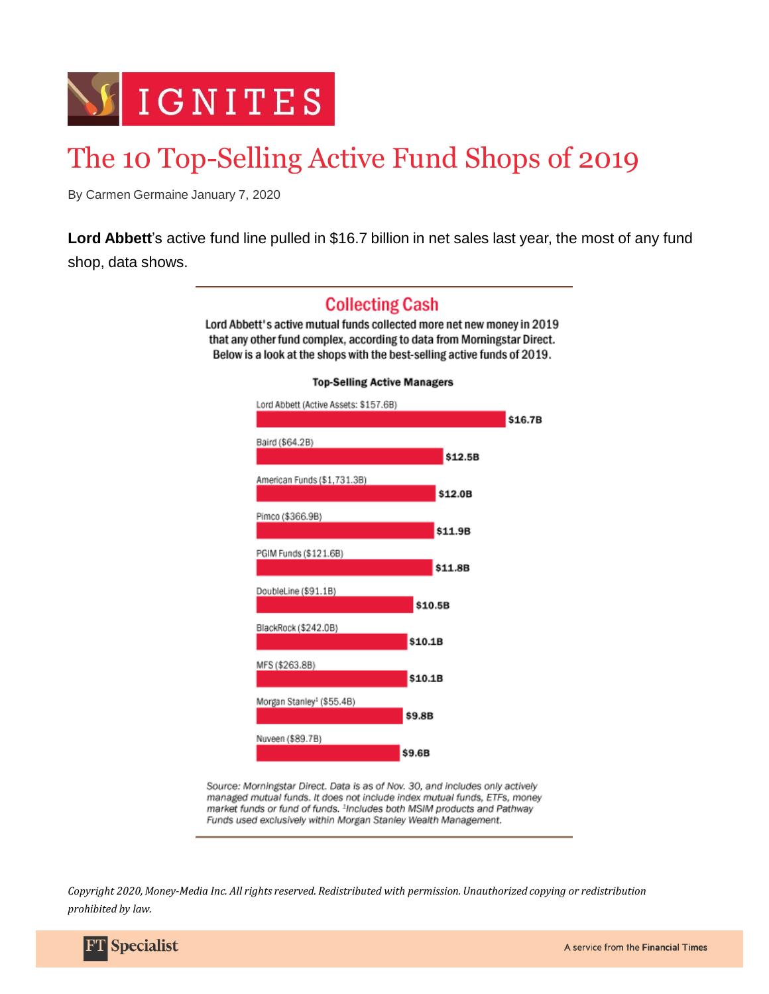

## The 10 Top-Selling Active Fund Shops of 2019

By Carmen Germaine January 7, 2020

**Lord Abbett**'s active fund line pulled in \$16.7 billion in net sales last year, the most of any fund shop, data shows.



Source: Morningstar Direct. Data is as of Nov. 30, and includes only actively managed mutual funds. It does not include index mutual funds, ETFs, money market funds or fund of funds. <sup>1</sup>Includes both MSIM products and Pathway Funds used exclusively within Morgan Stanley Wealth Management.

*Copyright 2020, Money-Media Inc. All rights reserved. Redistributed with permission. Unauthorized copying or redistribution prohibited by law.*

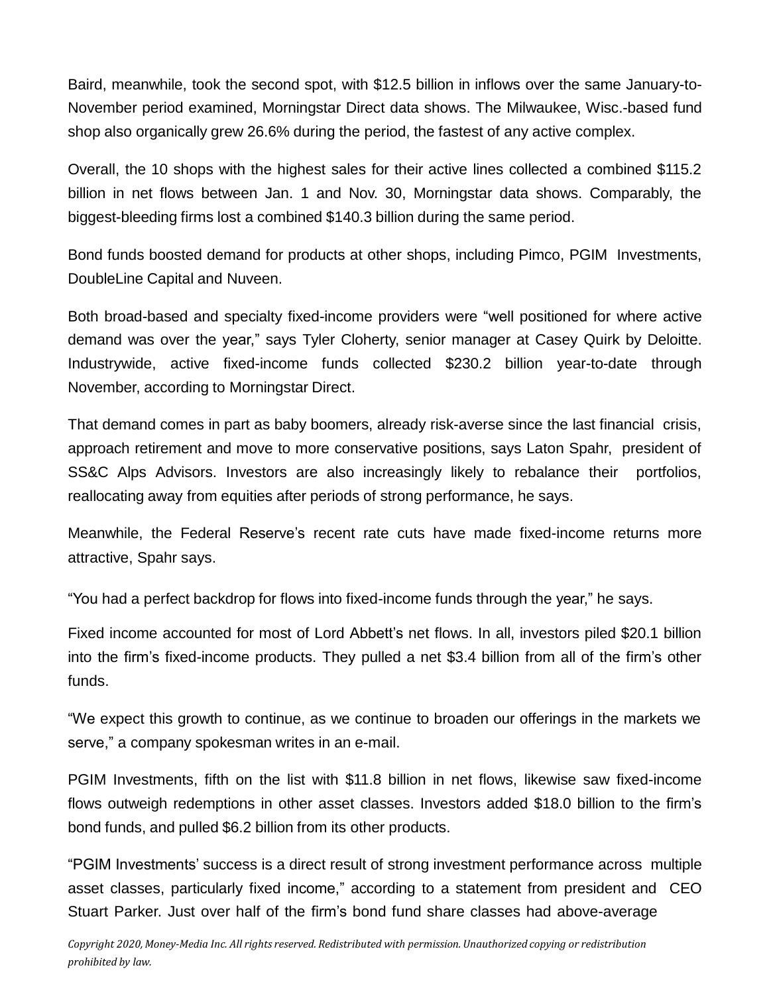Baird, meanwhile, took the second spot, with \$12.5 billion in inflows over the same January-to-November period examined, Morningstar Direct data shows. The Milwaukee, Wisc.-based fund shop also organically grew 26.6% during the period, the fastest of any active complex.

Overall, the 10 shops with the highest sales for their active lines collected a combined \$115.2 billion in net flows between Jan. 1 and Nov. 30, Morningstar data shows. Comparably, the biggest-bleeding firms lost a combined \$140.3 billion during the same period.

Bond funds boosted demand for products at other shops, including Pimco, PGIM Investments, DoubleLine Capital and Nuveen.

Both broad-based and specialty fixed-income providers were "well positioned for where active demand was over the year," says Tyler Cloherty, senior manager at Casey Quirk by Deloitte. Industrywide, active fixed-income funds collected \$230.2 billion year-to-date through November, according to Morningstar Direct.

That demand comes in part as baby boomers, already risk-averse since the last financial crisis, approach retirement and move to more conservative positions, says Laton Spahr, president of SS&C Alps Advisors. Investors are also increasingly likely to rebalance their portfolios, reallocating away from equities after periods of strong performance, he says.

Meanwhile, the Federal Reserve's recent rate cuts have made fixed-income returns more attractive, Spahr says.

"You had a perfect backdrop for flows into fixed-income funds through the year," he says.

Fixed income accounted for most of Lord Abbett's net flows. In all, investors piled \$20.1 billion into the firm's fixed-income products. They pulled a net \$3.4 billion from all of the firm's other funds.

"We expect this growth to continue, as we continue to broaden our offerings in the markets we serve," a company spokesman writes in an e-mail.

PGIM Investments, fifth on the list with \$11.8 billion in net flows, likewise saw fixed-income flows outweigh redemptions in other asset classes. Investors added \$18.0 billion to the firm's bond funds, and pulled \$6.2 billion from its other products.

"PGIM Investments' success is a direct result of strong investment performance across multiple asset classes, particularly fixed income," according to a statement from president and CEO Stuart Parker. Just over half of the firm's bond fund share classes had above-average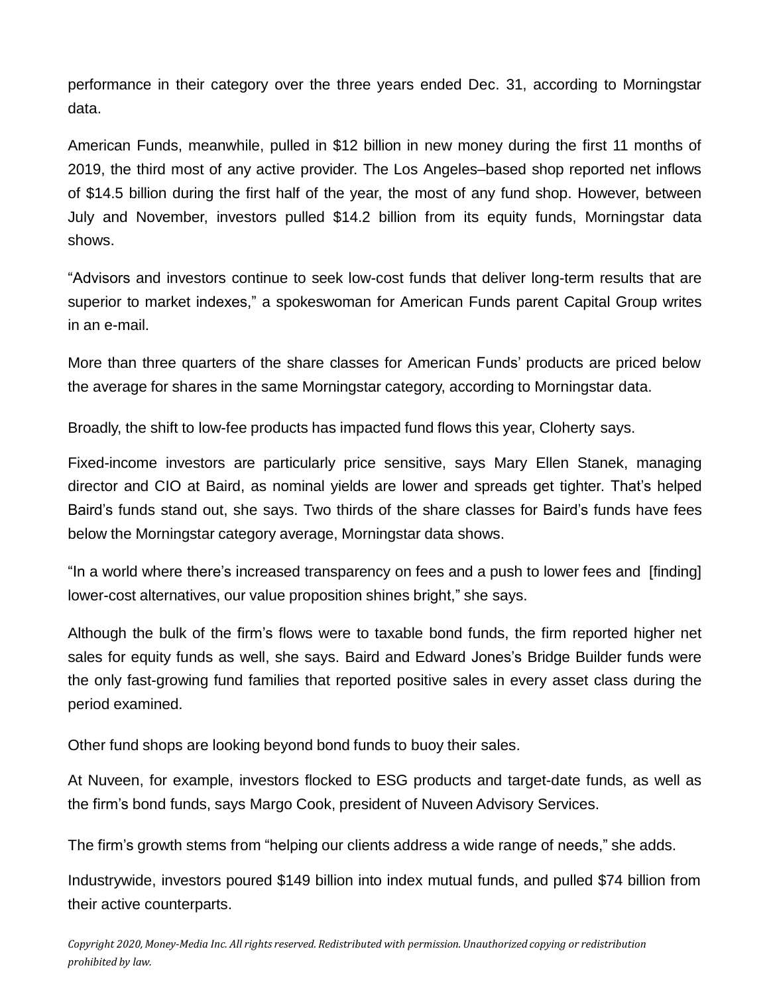performance in their category over the three years ended Dec. 31, according to Morningstar data.

American Funds, meanwhile, pulled in \$12 billion in new money during the first 11 months of 2019, the third most of any active provider. The Los Angeles–based shop reported net inflows of \$14.5 billion during the first half of the year, the most of any fund shop. However, between July and November, investors pulled \$14.2 billion from its equity funds, Morningstar data shows.

"Advisors and investors continue to seek low-cost funds that deliver long-term results that are superior to market indexes," a spokeswoman for American Funds parent Capital Group writes in an e-mail.

More than three quarters of the share classes for American Funds' products are priced below the average for shares in the same Morningstar category, according to Morningstar data.

Broadly, the shift to low-fee products has impacted fund flows this year, Cloherty says.

Fixed-income investors are particularly price sensitive, says Mary Ellen Stanek, managing director and CIO at Baird, as nominal yields are lower and spreads get tighter. That's helped Baird's funds stand out, she says. Two thirds of the share classes for Baird's funds have fees below the Morningstar category average, Morningstar data shows.

"In a world where there's increased transparency on fees and a push to lower fees and [finding] lower-cost alternatives, our value proposition shines bright," she says.

Although the bulk of the firm's flows were to taxable bond funds, the firm reported higher net sales for equity funds as well, she says. Baird and Edward Jones's Bridge Builder funds were the only fast-growing fund families that reported positive sales in every asset class during the period examined.

Other fund shops are looking beyond bond funds to buoy their sales.

At Nuveen, for example, investors flocked to ESG products and target-date funds, as well as the firm's bond funds, says Margo Cook, president of Nuveen Advisory Services.

The firm's growth stems from "helping our clients address a wide range of needs," she adds.

Industrywide, investors poured \$149 billion into index mutual funds, and pulled \$74 billion from their active counterparts.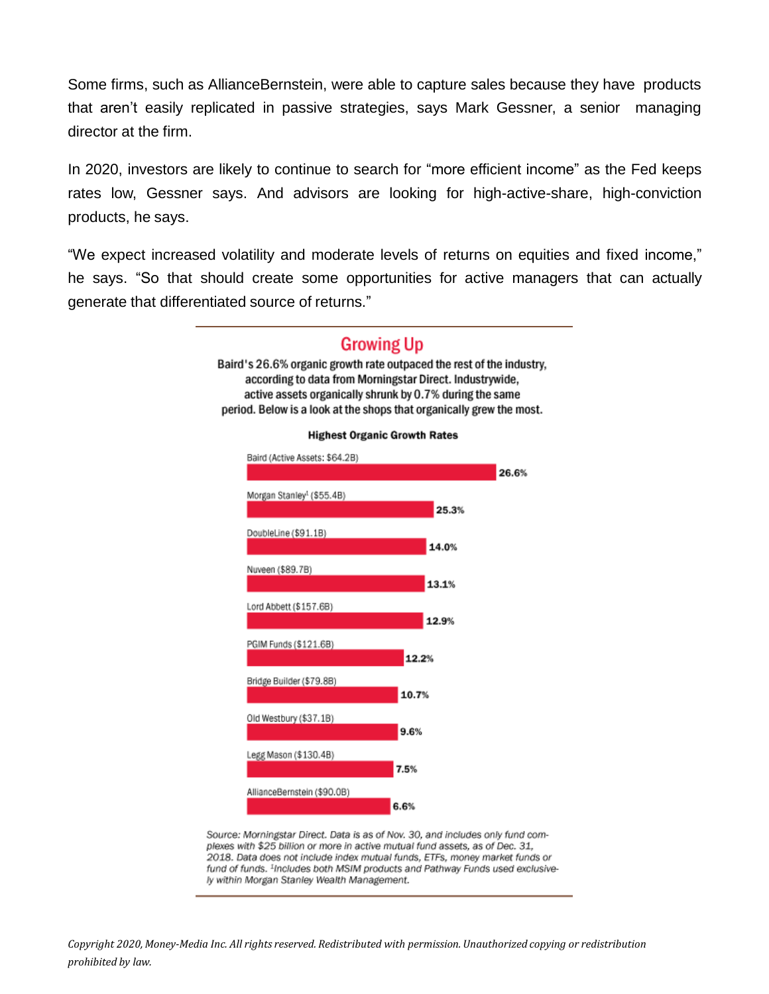Some firms, such as AllianceBernstein, were able to capture sales because they have products that aren't easily replicated in passive strategies, says Mark Gessner, a senior managing director at the firm.

In 2020, investors are likely to continue to search for "more efficient income" as the Fed keeps rates low, Gessner says. And advisors are looking for high-active-share, high-conviction products, he says.

"We expect increased volatility and moderate levels of returns on equities and fixed income," he says. "So that should create some opportunities for active managers that can actually generate that differentiated source of returns."

> **Growing Up** Baird's 26.6% organic growth rate outpaced the rest of the industry. according to data from Morningstar Direct. Industrywide, active assets organically shrunk by 0.7% during the same



Source: Morningstar Direct. Data is as of Nov. 30, and includes only fund complexes with \$25 billion or more in active mutual fund assets, as of Dec. 31, 2018. Data does not include index mutual funds, ETFs, money market funds or fund of funds. <sup>1</sup>Includes both MSIM products and Pathway Funds used exclusively within Morgan Stanley Wealth Management.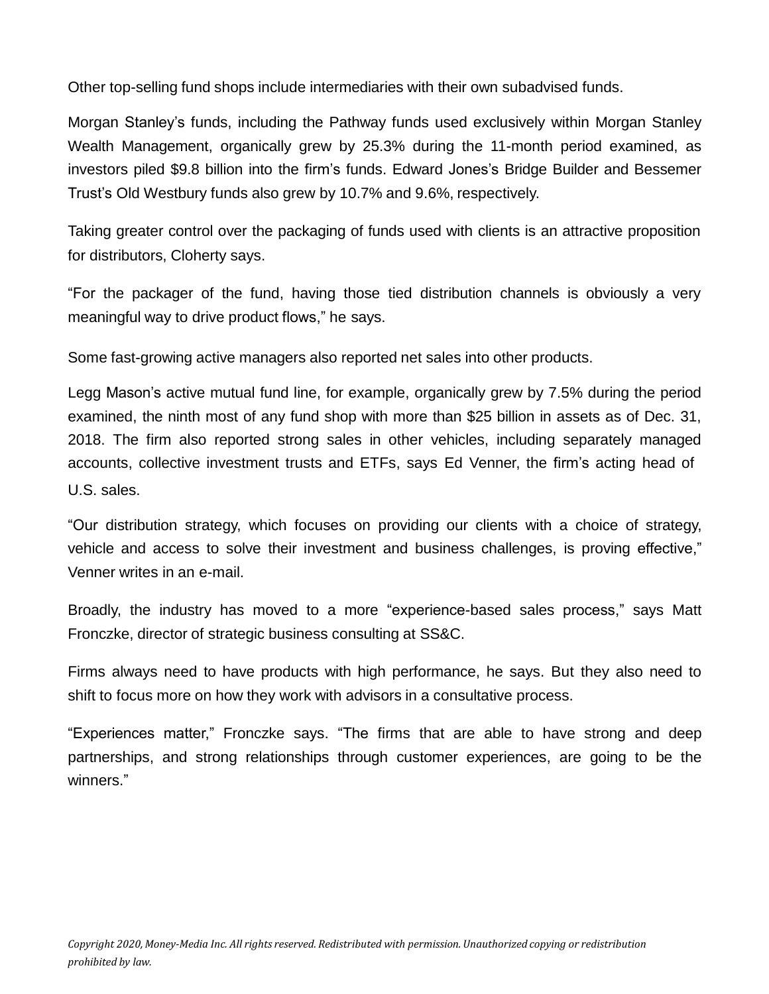Other top-selling fund shops include intermediaries with their own subadvised funds.

Morgan Stanley's funds, including the Pathway funds used exclusively within Morgan Stanley Wealth Management, organically grew by 25.3% during the 11-month period examined, as investors piled \$9.8 billion into the firm's funds. Edward Jones's Bridge Builder and Bessemer Trust's Old Westbury funds also grew by 10.7% and 9.6%, respectively.

Taking greater control over the packaging of funds used with clients is an attractive proposition for distributors, Cloherty says.

"For the packager of the fund, having those tied distribution channels is obviously a very meaningful way to drive product flows," he says.

Some fast-growing active managers also reported net sales into other products.

Legg Mason's active mutual fund line, for example, organically grew by 7.5% during the period examined, the ninth most of any fund shop with more than \$25 billion in assets as of Dec. 31, 2018. The firm also reported strong sales in other vehicles, including separately managed accounts, collective investment trusts and ETFs, says Ed Venner, the firm's acting head of U.S. sales.

"Our distribution strategy, which focuses on providing our clients with a choice of strategy, vehicle and access to solve their investment and business challenges, is proving effective," Venner writes in an e-mail.

Broadly, the industry has moved to a more "experience-based sales process," says Matt Fronczke, director of strategic business consulting at SS&C.

Firms always need to have products with high performance, he says. But they also need to shift to focus more on how they work with advisors in a consultative process.

"Experiences matter," Fronczke says. "The firms that are able to have strong and deep partnerships, and strong relationships through customer experiences, are going to be the winners."